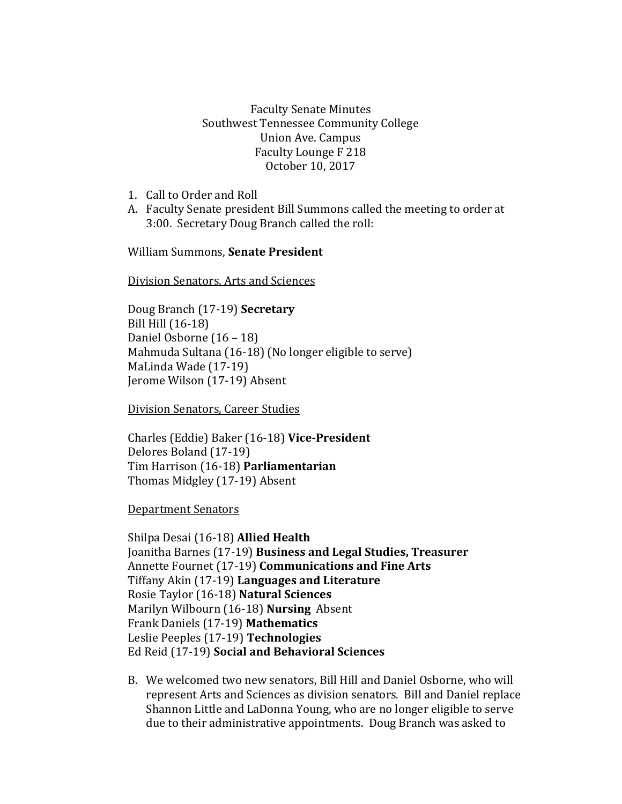Faculty Senate Minutes Southwest Tennessee Community College Union Ave. Campus Faculty Lounge F 218 October 10, 2017

- 1. Call to Order and Roll
- A. Faculty Senate president Bill Summons called the meeting to order at 3:00. Secretary Doug Branch called the roll:

William Summons, **Senate President**

Division Senators, Arts and Sciences

Doug Branch (17-19) **Secretary** Bill Hill (16-18) Daniel Osborne (16 – 18) Mahmuda Sultana (16-18) (No longer eligible to serve) MaLinda Wade (17-19) Jerome Wilson (17-19) Absent

Division Senators, Career Studies

Charles (Eddie) Baker (16-18) **Vice-President** Delores Boland (17-19) Tim Harrison (16-18) **Parliamentarian** Thomas Midgley (17-19) Absent

Department Senators

Shilpa Desai (16-18) **Allied Health** Joanitha Barnes (17-19) **Business and Legal Studies, Treasurer** Annette Fournet (17-19) **Communications and Fine Arts** Tiffany Akin (17-19) **Languages and Literature** Rosie Taylor (16-18) **Natural Sciences**  Marilyn Wilbourn (16-18) **Nursing** Absent Frank Daniels (17-19) **Mathematics** Leslie Peeples (17-19) **Technologies**  Ed Reid (17-19) **Social and Behavioral Sciences**

B. We welcomed two new senators, Bill Hill and Daniel Osborne, who will represent Arts and Sciences as division senators. Bill and Daniel replace Shannon Little and LaDonna Young, who are no longer eligible to serve due to their administrative appointments. Doug Branch was asked to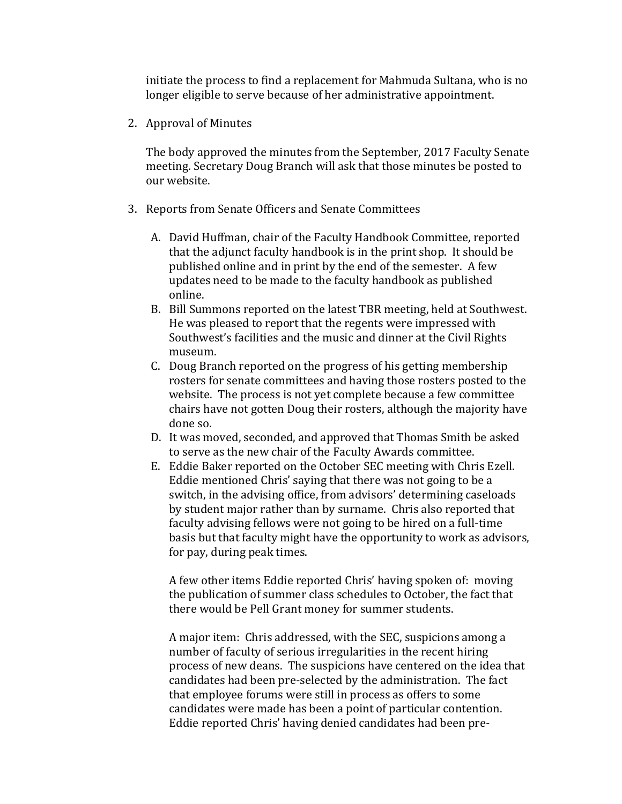initiate the process to find a replacement for Mahmuda Sultana, who is no longer eligible to serve because of her administrative appointment.

2. Approval of Minutes

The body approved the minutes from the September, 2017 Faculty Senate meeting. Secretary Doug Branch will ask that those minutes be posted to our website.

- 3. Reports from Senate Officers and Senate Committees
	- A. David Huffman, chair of the Faculty Handbook Committee, reported that the adjunct faculty handbook is in the print shop. It should be published online and in print by the end of the semester. A few updates need to be made to the faculty handbook as published online.
	- B. Bill Summons reported on the latest TBR meeting, held at Southwest. He was pleased to report that the regents were impressed with Southwest's facilities and the music and dinner at the Civil Rights museum.
	- C. Doug Branch reported on the progress of his getting membership rosters for senate committees and having those rosters posted to the website. The process is not yet complete because a few committee chairs have not gotten Doug their rosters, although the majority have done so.
	- D. It was moved, seconded, and approved that Thomas Smith be asked to serve as the new chair of the Faculty Awards committee.
	- E. Eddie Baker reported on the October SEC meeting with Chris Ezell. Eddie mentioned Chris' saying that there was not going to be a switch, in the advising office, from advisors' determining caseloads by student major rather than by surname. Chris also reported that faculty advising fellows were not going to be hired on a full-time basis but that faculty might have the opportunity to work as advisors, for pay, during peak times.

A few other items Eddie reported Chris' having spoken of: moving the publication of summer class schedules to October, the fact that there would be Pell Grant money for summer students.

A major item: Chris addressed, with the SEC, suspicions among a number of faculty of serious irregularities in the recent hiring process of new deans. The suspicions have centered on the idea that candidates had been pre-selected by the administration. The fact that employee forums were still in process as offers to some candidates were made has been a point of particular contention. Eddie reported Chris' having denied candidates had been pre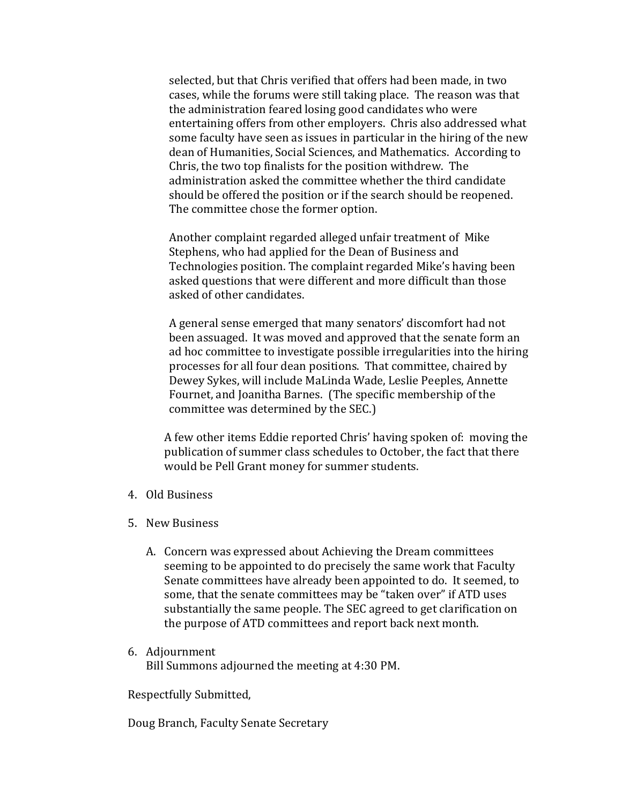selected, but that Chris verified that offers had been made, in two cases, while the forums were still taking place. The reason was that the administration feared losing good candidates who were entertaining offers from other employers. Chris also addressed what some faculty have seen as issues in particular in the hiring of the new dean of Humanities, Social Sciences, and Mathematics. According to Chris, the two top finalists for the position withdrew. The administration asked the committee whether the third candidate should be offered the position or if the search should be reopened. The committee chose the former option.

Another complaint regarded alleged unfair treatment of Mike Stephens, who had applied for the Dean of Business and Technologies position. The complaint regarded Mike's having been asked questions that were different and more difficult than those asked of other candidates.

A general sense emerged that many senators' discomfort had not been assuaged. It was moved and approved that the senate form an ad hoc committee to investigate possible irregularities into the hiring processes for all four dean positions. That committee, chaired by Dewey Sykes, will include MaLinda Wade, Leslie Peeples, Annette Fournet, and Joanitha Barnes. (The specific membership of the committee was determined by the SEC.)

A few other items Eddie reported Chris' having spoken of: moving the publication of summer class schedules to October, the fact that there would be Pell Grant money for summer students.

- 4. Old Business
- 5. New Business
	- A. Concern was expressed about Achieving the Dream committees seeming to be appointed to do precisely the same work that Faculty Senate committees have already been appointed to do. It seemed, to some, that the senate committees may be "taken over" if ATD uses substantially the same people. The SEC agreed to get clarification on the purpose of ATD committees and report back next month.
- 6. Adjournment Bill Summons adjourned the meeting at 4:30 PM.

Respectfully Submitted,

Doug Branch, Faculty Senate Secretary